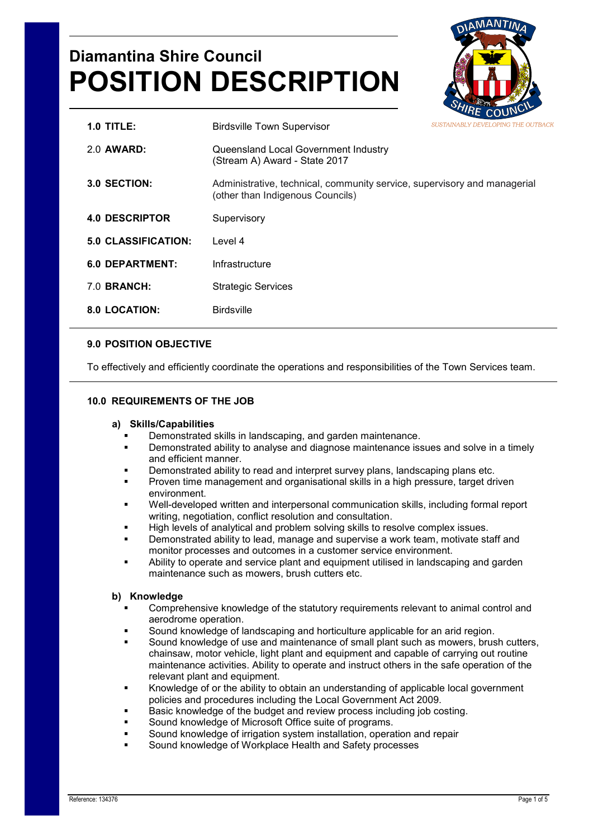# **Diamantina Shire Council POSITION DESCRIPTION**



| $1.0$ TITLE:               | <b>Birdsville Town Supervisor</b>                                                                            | SUSTAINABLY DEVELOPING THE OUTBA |
|----------------------------|--------------------------------------------------------------------------------------------------------------|----------------------------------|
| 2.0 <b>AWARD:</b>          | Queensland Local Government Industry<br>(Stream A) Award - State 2017                                        |                                  |
| 3.0 SECTION:               | Administrative, technical, community service, supervisory and managerial<br>(other than Indigenous Councils) |                                  |
| <b>4.0 DESCRIPTOR</b>      | Supervisory                                                                                                  |                                  |
| <b>5.0 CLASSIFICATION:</b> | Level 4                                                                                                      |                                  |
| <b>6.0 DEPARTMENT:</b>     | Infrastructure                                                                                               |                                  |
| <b>7.0 BRANCH:</b>         | <b>Strategic Services</b>                                                                                    |                                  |
| <b>8.0 LOCATION:</b>       | <b>Birdsville</b>                                                                                            |                                  |

# **9.0 POSITION OBJECTIVE**

To effectively and efficiently coordinate the operations and responsibilities of the Town Services team.

## **10.0 REQUIREMENTS OF THE JOB**

#### **a) Skills/Capabilities**

- Demonstrated skills in landscaping, and garden maintenance.
- Demonstrated ability to analyse and diagnose maintenance issues and solve in a timely and efficient manner.
- Demonstrated ability to read and interpret survey plans, landscaping plans etc.
- Proven time management and organisational skills in a high pressure, target driven environment.
- Well-developed written and interpersonal communication skills, including formal report writing, negotiation, conflict resolution and consultation.
- High levels of analytical and problem solving skills to resolve complex issues.
- Demonstrated ability to lead, manage and supervise a work team, motivate staff and monitor processes and outcomes in a customer service environment.
- Ability to operate and service plant and equipment utilised in landscaping and garden maintenance such as mowers, brush cutters etc.

## **b) Knowledge**

- Comprehensive knowledge of the statutory requirements relevant to animal control and aerodrome operation.
- Sound knowledge of landscaping and horticulture applicable for an arid region.
- Sound knowledge of use and maintenance of small plant such as mowers, brush cutters, chainsaw, motor vehicle, light plant and equipment and capable of carrying out routine maintenance activities. Ability to operate and instruct others in the safe operation of the relevant plant and equipment.
- Knowledge of or the ability to obtain an understanding of applicable local government policies and procedures including the Local Government Act 2009.
- Basic knowledge of the budget and review process including job costing.
- Sound knowledge of Microsoft Office suite of programs.
- Sound knowledge of irrigation system installation, operation and repair
- Sound knowledge of Workplace Health and Safety processes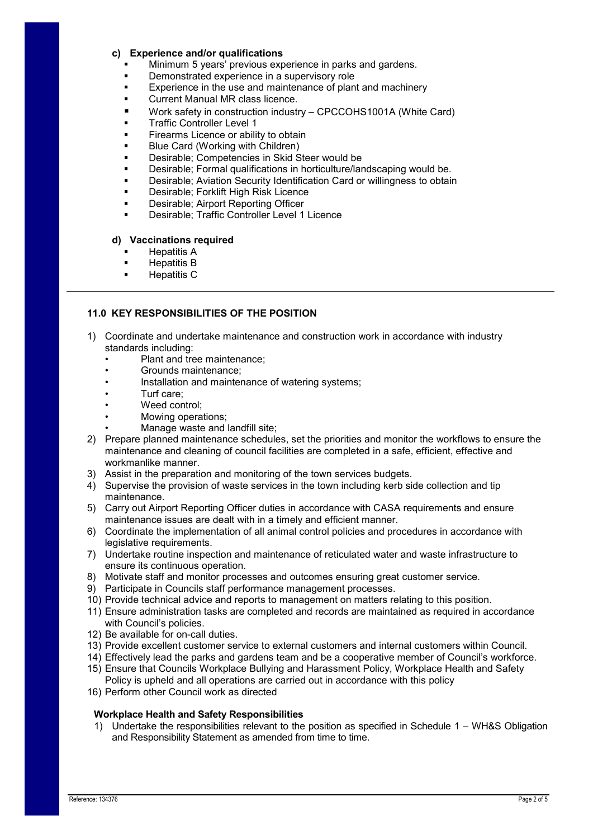#### **c) Experience and/or qualifications**

- Minimum 5 years' previous experience in parks and gardens.
- Demonstrated experience in a supervisory role
- **EXperience in the use and maintenance of plant and machinery**
- Current Manual MR class licence.
- Work safety in construction industry CPCCOHS1001A (White Card)
- Traffic Controller Level 1
- Firearms Licence or ability to obtain
- Blue Card (Working with Children)
- Desirable; Competencies in Skid Steer would be
- Desirable; Formal qualifications in horticulture/landscaping would be.
- Desirable; Aviation Security Identification Card or willingness to obtain
- Desirable; Forklift High Risk Licence
- Desirable; Airport Reporting Officer
- Desirable; Traffic Controller Level 1 Licence

#### **d) Vaccinations required**

- Hepatitis A
- Hepatitis B
- Hepatitis C

## **11.0 KEY RESPONSIBILITIES OF THE POSITION**

- 1) Coordinate and undertake maintenance and construction work in accordance with industry standards including:
	- Plant and tree maintenance;
	- Grounds maintenance;
	- Installation and maintenance of watering systems;
	- Turf care;
	- Weed control;
	- Mowing operations;
	- Manage waste and landfill site;
- 2) Prepare planned maintenance schedules, set the priorities and monitor the workflows to ensure the maintenance and cleaning of council facilities are completed in a safe, efficient, effective and workmanlike manner.
- 3) Assist in the preparation and monitoring of the town services budgets.
- 4) Supervise the provision of waste services in the town including kerb side collection and tip maintenance.
- 5) Carry out Airport Reporting Officer duties in accordance with CASA requirements and ensure maintenance issues are dealt with in a timely and efficient manner.
- 6) Coordinate the implementation of all animal control policies and procedures in accordance with legislative requirements.
- 7) Undertake routine inspection and maintenance of reticulated water and waste infrastructure to ensure its continuous operation.
- 8) Motivate staff and monitor processes and outcomes ensuring great customer service.
- 9) Participate in Councils staff performance management processes.
- 10) Provide technical advice and reports to management on matters relating to this position.
- 11) Ensure administration tasks are completed and records are maintained as required in accordance with Council's policies.
- 12) Be available for on-call duties.
- 13) Provide excellent customer service to external customers and internal customers within Council.
- 14) Effectively lead the parks and gardens team and be a cooperative member of Council's workforce.
- 15) Ensure that Councils Workplace Bullying and Harassment Policy, Workplace Health and Safety Policy is upheld and all operations are carried out in accordance with this policy
- 16) Perform other Council work as directed

#### **Workplace Health and Safety Responsibilities**

1) Undertake the responsibilities relevant to the position as specified in Schedule 1 – WH&S Obligation and Responsibility Statement as amended from time to time.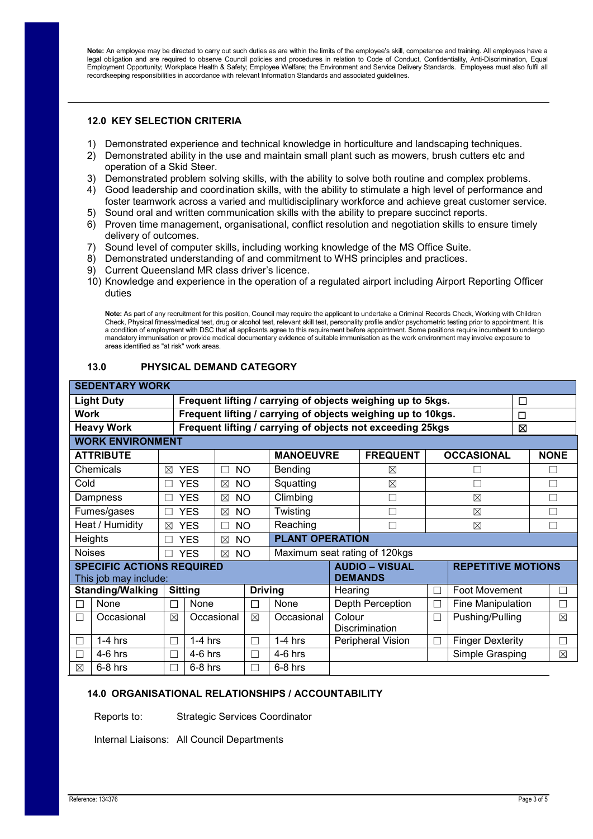Note: An employee may be directed to carry out such duties as are within the limits of the employee's skill, competence and training. All employees have a legal obligation and are required to observe Council policies and procedures in relation to Code of Conduct, Confidentiality, Anti-Discrimination, Equal Employment Opportunity; Workplace Health & Safety; Employee Welfare; the Environment and Service Delivery Standards. Employees must also fulfil all recordkeeping responsibilities in accordance with relevant Information Standards and associated guidelines.

## **12.0 KEY SELECTION CRITERIA**

- 1) Demonstrated experience and technical knowledge in horticulture and landscaping techniques.
- 2) Demonstrated ability in the use and maintain small plant such as mowers, brush cutters etc and operation of a Skid Steer.
- 3) Demonstrated problem solving skills, with the ability to solve both routine and complex problems.
- 4) Good leadership and coordination skills, with the ability to stimulate a high level of performance and foster teamwork across a varied and multidisciplinary workforce and achieve great customer service.
- 5) Sound oral and written communication skills with the ability to prepare succinct reports.
- 6) Proven time management, organisational, conflict resolution and negotiation skills to ensure timely delivery of outcomes.
- 7) Sound level of computer skills, including working knowledge of the MS Office Suite.
- 8) Demonstrated understanding of and commitment to WHS principles and practices.
- 9) Current Queensland MR class driver's licence.
- 10) Knowledge and experience in the operation of a regulated airport including Airport Reporting Officer duties

**Note:** As part of any recruitment for this position, Council may require the applicant to undertake a Criminal Records Check, Working with Children Check, Physical fitness/medical test, drug or alcohol test, relevant skill test, personality profile and/or psychometric testing prior to appointment. It is a condition of employment with DSC that all applicants agree to this requirement before appointment. Some positions require incumbent to undergo mandatory immunisation or provide medical documentary evidence of suitable immunisation as the work environment may involve exposure to areas identified as "at risk" work areas.

#### **13.0 PHYSICAL DEMAND CATEGORY**

| <b>SEDENTARY WORK</b>                   |                   |             |                                                              |                                                             |                                                            |                       |                       |                   |                           |        |             |  |  |  |
|-----------------------------------------|-------------------|-------------|--------------------------------------------------------------|-------------------------------------------------------------|------------------------------------------------------------|-----------------------|-----------------------|-------------------|---------------------------|--------|-------------|--|--|--|
|                                         | <b>Light Duty</b> |             |                                                              | Frequent lifting / carrying of objects weighing up to 5kgs. |                                                            |                       |                       |                   |                           | $\Box$ |             |  |  |  |
| <b>Work</b>                             |                   |             | Frequent lifting / carrying of objects weighing up to 10kgs. |                                                             |                                                            |                       |                       |                   | □                         |        |             |  |  |  |
| <b>Heavy Work</b>                       |                   |             |                                                              |                                                             | Frequent lifting / carrying of objects not exceeding 25kgs |                       |                       |                   | ⊠                         |        |             |  |  |  |
| <b>WORK ENVIRONMENT</b>                 |                   |             |                                                              |                                                             |                                                            |                       |                       |                   |                           |        |             |  |  |  |
| <b>ATTRIBUTE</b>                        |                   |             |                                                              |                                                             | <b>MANOEUVRE</b>                                           |                       | <b>FREQUENT</b>       | <b>OCCASIONAL</b> |                           |        | <b>NONE</b> |  |  |  |
| Chemicals<br><b>YES</b><br>X            |                   | П           | <b>NO</b>                                                    | <b>Bending</b>                                              |                                                            | $\boxtimes$           |                       |                   |                           |        |             |  |  |  |
| Cold<br><b>YES</b>                      |                   | $\boxtimes$ | <b>NO</b>                                                    | Squatting                                                   |                                                            | $\boxtimes$           | ┑                     |                   | $\Box$                    |        |             |  |  |  |
| Dampness<br><b>YES</b><br>П             |                   | $\boxtimes$ | Climbing<br><b>NO</b>                                        |                                                             |                                                            | Г                     |                       | $\boxtimes$       |                           |        |             |  |  |  |
| Fumes/gases                             |                   |             | <b>YES</b><br>⊠                                              | <b>NO</b>                                                   | Twisting                                                   |                       | Г                     | $\boxtimes$       |                           |        |             |  |  |  |
| Heat / Humidity                         |                   | ⊠           | <b>YES</b><br><b>NO</b>                                      |                                                             | Reaching                                                   |                       | П                     |                   | $\boxtimes$               |        |             |  |  |  |
| Heights                                 |                   |             | <b>YES</b><br>$\boxtimes$                                    | <b>NO</b>                                                   | <b>PLANT OPERATION</b>                                     |                       |                       |                   |                           |        |             |  |  |  |
| <b>Noises</b>                           |                   |             | <b>YES</b><br>$\boxtimes$                                    | <b>NO</b>                                                   | Maximum seat rating of 120kgs                              |                       |                       |                   |                           |        |             |  |  |  |
| <b>SPECIFIC ACTIONS REQUIRED</b>        |                   |             |                                                              |                                                             |                                                            | <b>AUDIO – VISUAL</b> |                       |                   | <b>REPETITIVE MOTIONS</b> |        |             |  |  |  |
| This job may include:<br><b>DEMANDS</b> |                   |             |                                                              |                                                             |                                                            |                       |                       |                   |                           |        |             |  |  |  |
| <b>Standing/Walking</b>                 |                   |             | <b>Sitting</b>                                               |                                                             | <b>Driving</b>                                             |                       | Hearing               |                   | <b>Foot Movement</b>      |        | П           |  |  |  |
| П                                       | None              | П           | None                                                         | П                                                           | None                                                       |                       | Depth Perception      | ┓                 | Fine Manipulation         |        | Г           |  |  |  |
| ٦                                       | Occasional        | ⊠           | Occasional                                                   | ⊠                                                           | Occasional                                                 |                       | Colour                |                   | Pushing/Pulling           |        | $\boxtimes$ |  |  |  |
|                                         |                   |             |                                                              |                                                             |                                                            |                       | <b>Discrimination</b> |                   |                           |        |             |  |  |  |
|                                         | $1-4$ hrs         | r.          | $1-4$ hrs<br>П                                               |                                                             | $1-4$ hrs                                                  | Peripheral Vision     |                       | П                 | <b>Finger Dexterity</b>   |        | Г           |  |  |  |
|                                         | $4-6$ hrs         | L           | $4-6$ hrs                                                    | $\Box$                                                      | $4-6$ hrs                                                  |                       |                       |                   | Simple Grasping           |        | ⊠           |  |  |  |
| $\boxtimes$                             | $6-8$ hrs         |             | $6-8$ hrs                                                    | $\Box$                                                      | $6-8$ hrs                                                  |                       |                       |                   |                           |        |             |  |  |  |

#### **14.0 ORGANISATIONAL RELATIONSHIPS / ACCOUNTABILITY**

Reports to: Strategic Services Coordinator

Internal Liaisons: All Council Departments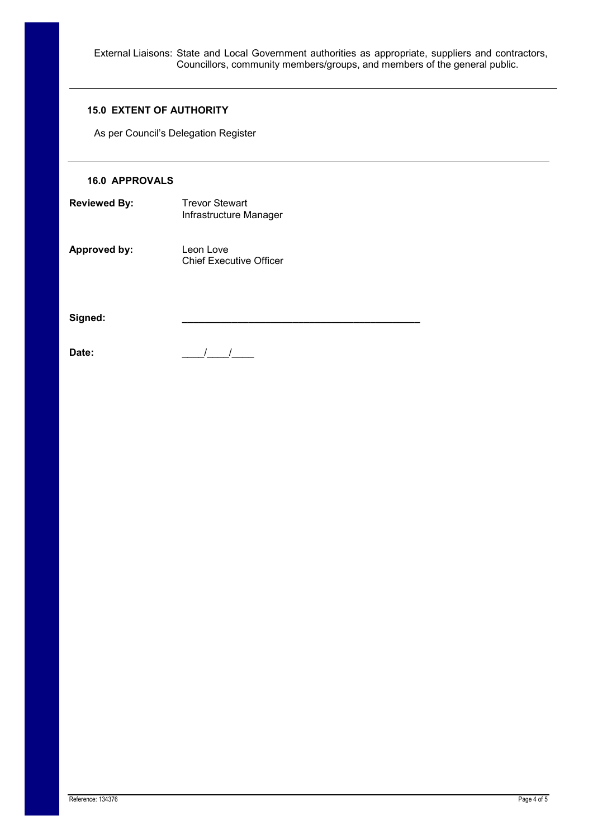External Liaisons: State and Local Government authorities as appropriate, suppliers and contractors, Councillors, community members/groups, and members of the general public.

## **15.0 EXTENT OF AUTHORITY**

As per Council's Delegation Register

## **16.0 APPROVALS**

- **Reviewed By:** Trevor Stewart Infrastructure Manager
- **Approved by:** Leon Love Chief Executive Officer

 $Signed:$ 

**Date:** \_\_\_\_/\_\_\_\_/\_\_\_\_